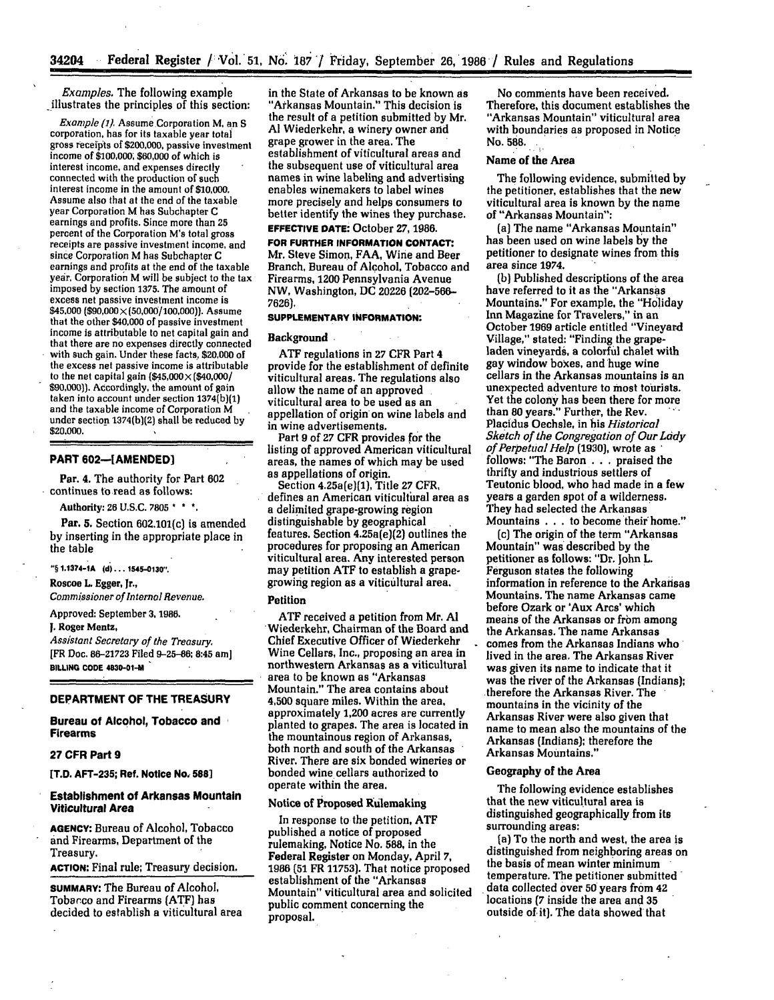*Examples.* The following example -illustrates the principles of this section:

*Example* (1) Assume Corporation M, an **S** corporation, has for its taxable year total gross receipts of \$200,000, passive investment income of **\$100,000; \$60,000** of which is interest income, and expenses directly connected with the production of such interest income in the amount of \$10,000. Assume also that at the end of the taxable year Corporation M has Subchapter C earnings and profits. Since more than **25** percent of the Corporation M's total gross receipts are passive investment income, and since Corporation M has Subchapter **C** earnings and profits at the end of the taxable year, Corporation M will be subject to the tax<br>imposed by section 1375. The amount of excess net passive investment income is \$45,000 **(\$90,000** X **(50,000/100,000)).** Assume that the other \$40,000 of passive investment income is attributable to net capital gain and that there are no expenses directly connected with such gain. Under these facts, \$20,000 of the excess net passive income is attributable to the net capital gain  $(\$45,000 \times (\$40,000)$ <br>\$90,000)). Accordingly, the amount of gain taken into account under section 1374(b)(1) and the taxable income of Corporation M under section **1374(b)[2)** shall be reduced **by** \$20,000.

# **PART 602-[AMENDED]**

Par. 4. The authority for Part **602** continues to read as follows:

Authority: 26 U.S.C. **7805 \* . \***

Par. **5.** Section **602.101(c)** is amended **by** inserting in the appropriate place in the table

"§ 1.1374-1A (d) . . . 1545-0130".

Roscoe L. Egger, Jr.,

*Commissioner of Internal Revenue.*

Approved: September **3, 1986.**

**1.** Roger Mentz,

*Assistant Secretary of the Treasury.* **[FR** Doc. **86-21723** Filed **9-25-86;** 8:45 am] **ILLING CODE 4030-01-M**

# **DEPARTMENT OF THE TREASURY**

**Bureau of Alcohol, Tobacco and Firearms**

# **27 CFR Part 9**

**[I.D. AFT-235; Ref. Notice No, 588]**

# **Establishment of Arkansas Mountain Viticultural Area**

**AGENCY:** Bureau of Alcohol, Tobacco and Firearms, Department of the Treasury.

**ACTION:** Final rule; Treasury decision.

**SUMMARY:** The Bureau of Alcohol, Tobarco and Firearms **(ATF}** has decided to establish a viticultural area

in the State of Arkansas to be known as "Arkansas Mountain." This decision is the result of a petition submitted **by** Mr. **Al** Wiederkehr, a winery owner **and** grape grower in the area. The establishment of viticultural areas and the subsequent use of viticultural area names in wine labeling and advertising enables winemakers to label wines more precisely and helps consumers to better identify the wines they purchase.

# **EFFECTIVE DATE:** October **27, 1986.**

**FOR FURTHER INFORMATION CONTACT.** Mr. Steve Simon, **FAA,** Wine and Beer Branch, Bureau of Alcohol, Tobacco and Firearms, 1200 Pennsylvania Avenue NW, Washington, **DC** 20226 **(202-566-** 7626).

# **SUPPLEMENTARY INFORMATION:**

#### Background

**ATF** regulations in **27** CFR Part 4 provide for the establishment of definite viticultural areas. The regulations also<br>allow the name of an approved viticultural area to be used as an<br>appellation of origin on wine labels and in wine advertisements.

Part 9 of **27** CFR provides for the listing of approved American viticultural areas, the names of which may be used<br>as appellations of origin.

as appellations of origin. Section 4.25a(e)(1), Title **27** CFR, defines an American viticultural area as a delimited grape-growing region distinguishable **by** geographical features. Section 4.25a(e)(2) outlines the procedures for proposing an American viticultural area. Any interested person may petition **ATF** to establish a grapegrowing region as a viticultural area.

# Petition

**ATF** received a petition from Mr. **Al** Wiederkehr, Chairman of the Board and Chief Executive Officer of Wiederkehr Wine Cellars, Inc., proposing an area in northwestern Arkansas as a viticultural area to be known as "Arkansas Mountain." The area contains about 4,500 square miles. Within the area,<br>approximately 1,200 acres are currently planted to grapes. The area is located in the mountainous region of Arkansas, both north and south of the Arkansas River. There are six bonded wineries or bonded wine cellars authorized to operate within the area.

#### Notice **of** Proposed Rulemaking

In response to the petition, **ATF** rulemaking, Notice No. 588, in the Federal Register on Monday, April **7,** 1986 **(51** FR **11753).** That notice proposed establishment of the "Arkansas Mountain" viticultural area and solicited public comment concerning the proposal.

No comments have been received. Therefore, this document establishes the "Arkansas Mountain" viticultural area with boundaries as proposed in Notice No. **588.**

# Name of the Area

The following evidence, submitted **by** the petitioner, establishes that the new viticultural area is known **by** the name of "Arkansas Mountain":

(a] The name "Arkansas Mountain" has been used on wine labels **by** the petitioner to designate wines from this area since 1974.

**(b)** Published descriptions of the area have referred to it as the "Arkansas Mountains." For example, the "Holiday Inn Magazine for Travelers," in an October **1969** article entitled "Vineyard Village," stated: "Finding the grapeladen vineyards, a colorful chalet with gay window boxes, and huge wine cellars in the Arkansas mountains is an unexpected adventure to most tourists. Yet the colony has been there for more than **80** years." Further, the Rev. Placidus Oechsle, in his *Historical Sketch of the Congregation of Our Lady of Perpetual Help* **(1930],** wrote as follows: "The Baron **...** praised the thrifty and industrious settlers of Teutonic blood, who had made in a few years a garden spot of a wilderness. They had selected the Arkansas Mountains **...** to become their home."

(c) The origin of the term "Arkansas Mountain" was described **by** the petitioner as follows: "Dr. John L. Ferguson states the following information in reference to the Arkansas Mountains. The name Arkansas came before Ozark or 'Aux Arcs' which means of the Arkansas or from among the Arkansas. The name Arkansas comes from the Arkansas Indians who lived in the area. The Arkansas River was given its name to indicate that it was the river of the Arkansas (Indians); .therefore the Arkansas River. The mountains in the vicinity of the Arkansas River were also given that name to mean also the mountains of the Arkansas (Indians); therefore the Arkansas Mountains."

# Geography of the Area

The following evidence establishes that the new viticultural area is distinguished geographically from its surrounding areas:

(a) To the north and west, the area is distinguished from neighboring areas on the basis of mean winter minimum temperature. The petitioner submitted data collected over **50** years from 42 locations **(7** inside the area and **35** outside of it). The data showed that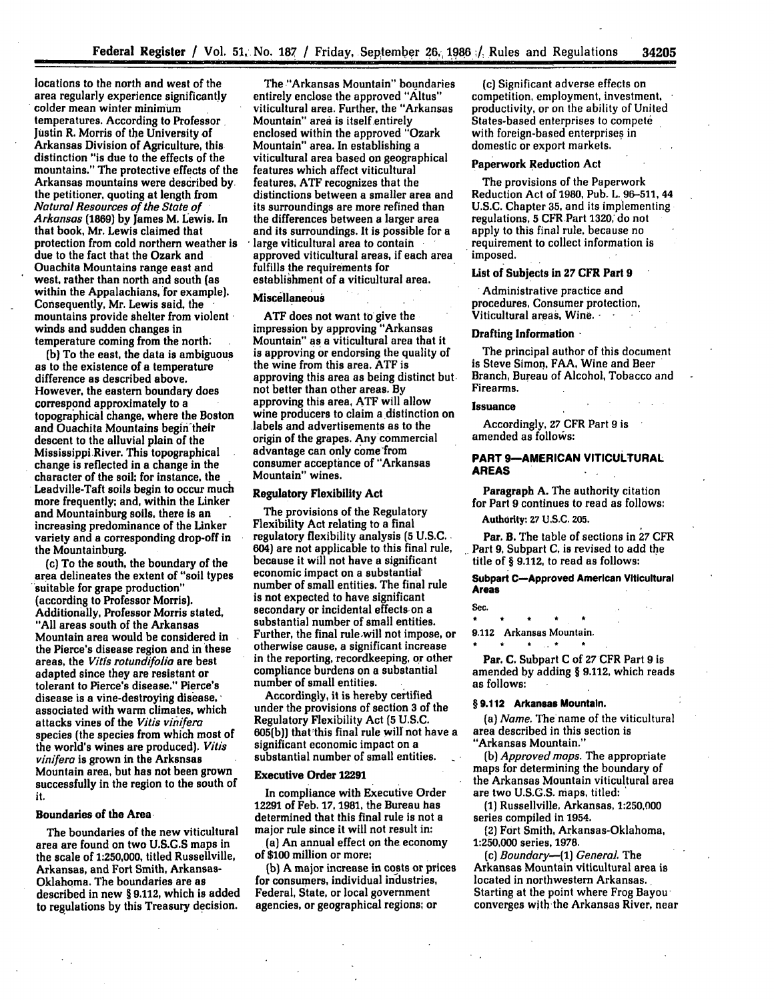locations to the north and west of the area regularly experience significantly colder mean winter minimum temperatures. According to Professor Justin R. Morris of the University of Arkansas Division of Agriculture, this distinction "is due to the effects of the mountains." The protective effects of the Arkansas mountains were described **by,** the petitioner, quoting at length from *Natural Resources of the State of Arkansas* **(1869) by** James M. Lewis. In that book, Mr. Lewis claimed that protection from cold northern weather is due to the fact that the Ozark and Ouachita Mountains range east and west, rather than north and south (as within the Appalachians, for example).<br>Consequently, Mr. Lewis said, the mountains provide shelter from violent winds and sudden changes in temperature coming from the north;

**(b)** To the east, the data is ambiguous as to the existence of a temperature difference as described above. However, the eastern boundary does correspond approximately to a topographical change, where the Boston and Ouachita Mountains begin their descent to the alluvial plain of the Mississippi River. This topographical change is reflected in a change in the character of the soil; for instance, the Leadville-Taft soils begin to occur much more frequently; and, within the Linker and Mountainburg soils, there is an increasing predominance of the Linker variety and a corresponding drop-off in the Mountainburg.

(c) To the south, the boundary of the area delineates the extent of "soil types suitable for grape production" (according to Professor Morris). Additionally, Professor Morris stated, **"All** areas south of the Arkansas Mountain area would be considered in the Pierce's disease region and in these areas, the *Vitis rotundifolia* are best adapted since they are resistant or tolerant to Pierce's disease." Pierce's disease is a vine-destroying disease,' associated with warm climates, which attacks vines of the *Vitis vinifera* species (the species from which most of the world's wines are produced). *Vitis vinifera* is grown in the Arkansas Mountain area, but has not been grown successfully in the region to the south of **it.**

# Boundaries of the Area

The boundaries of the new viticultural area are found on two **U.S.G.S** maps in the scale of **1:250,000,** titled Russellville, Arkansas, and Fort Smith, Arkansas-Oklahoma. The boundaries are as described in new **§ 9.112,** which is added to regulations **by** this Treasury decision.

The "Arkansas Mountain" boundaries entirely enclose the approved "Altus" viticultural area. Further, the "Arkansas Mountain" area is itself entirely enclosed within the approved "Ozark Mountain" area. In establishing a viticultural area based on geographical features which affect viticultural features, **ATF** recognizes that the distinctions between a smaller area and its surroundings are more refined than the differences between a larger area and its surroundings. It is possible for a large viticultural area to contain approved viticultural areas, if each area fulfills the requirements for establishment of a viticultural area.

# **Miscellaneous**

**ATF** does not want to'give the impression **by** approving "Arkansas Mountain" as a viticultural area that it is approving or endorsing **the** quality of the wine from this area. **ATF** is approving this area as being distinct but not better than other areas. **By** approving this area, ATF will allow wine producers to claim a distinction on labels and advertisements as to the origin of the grapes. Any'commercial advantage can only come'from consumer acceptance of "Arkansas Mountain" wines.

#### Regulatory Flexibility Act

The provisions of the Regulatory Flexibility Act relating to a final regulatory flexibility analysis **(5 U.S.C.** 604) are not applicable to this final rule, because it will not have a significant economic impact on a substantial number of small entities. The final rule is not expected to have significant secondary or incidental effects-on a substantial number of small entities. Further, the final rule.will not impose, or otherwise cause, a significant increase in the reporting, recordkeeping, or other compliance burdens on a substantial number of small entities.

Accordingly, it is hereby certified under the provisions of section **3** of the Regulatory Flexibility Act **(5** U.S.C. **605(b))** that'this final rule will not have a significant economic impact on a substantial number of small entities.

#### **Executive** Order **12291**

In compliance with Executive Order 12291 of Feb. **17, 1981,** the Bureau has determined that this final rule is not a major rule since it will not result in:

(a) An annual effect on the economy of **\$100** million or more;

**(b)** A major increase in costs or prices for consumers, individual industries, Federal, State, or local government agencies, or geographical regions; or

(c) Significant adverse effects on competition, employment, investment, productivity, or on the ability of United States-based enterprises to compete with foreign-based enterprises in domestic or export markets.

## **Paperwork Reduction Act**

The provisions of the Paperwork Reduction Act of **1980,** Pub. **L..96-511,** 44 **U.S.C.** Chapter **35,** and its implementing regulations, **5** CFR Part **1320,** do not apply to this final rule, because no requirement to collect information is imposed.

### List of Subjects in **27** CFR Part **9**

Administrative practice and procedures, Consumer protection, Viticultural areas, Wine. **-**

# **Drafting Information -**

The principal author of this document is Steve Simon, **FAA,** Wine and Beer Branch, Bureau of Alcohol, Tobacco and Firearms.

#### **Issuance**

Accordingly, **27** CFR Part **9** is amended as follovs:

# **PART 9--AMERICAN VITICULTURAL AREAS**

Paragraph **A.** The authority citation for Part **9** continues to read as follows:

Authority: **V7 U.S.C.** 205.

**Par.** B. The table of sections in **27** CFR Part **9,** Subpart **C,** is revised to add **the** title of § **9.112,** to read as follows:

Subpart C-Approved American Viticultural Areas

Sec.  $\bullet$ 

> **9.112** Arkansas Mountain.  $\star$   $\sim$   $\star$

Par. **C.** Subpart **C** of **27** CFR Part **9** is amended **by** adding § **9.112,** which reads as **follows:**

## **§ 9.112** Arkansas Mountain.

*(a) Name.* The'name of the viticultural area described in this section is "Arkansas Mountain."

*(b) Approved maps.* The appropriate maps for determining the boundary of the Arkansas Mountain viticultural area are two **U.S.G.S.** maps, titled: **'**

**(1)** Russellville, Arkansas, **1:250,000** series compiled in 1954.

(2) Fort Smith, Arkansas-Oklahoma, 1:250,000 series, **1978.**

(c) *Boundary-{1) General.* The Arkansas Mountain viticultural area is located in northwestern Arkansas. Starting at the point where Frog Bayou converges with the Arkansas River, near